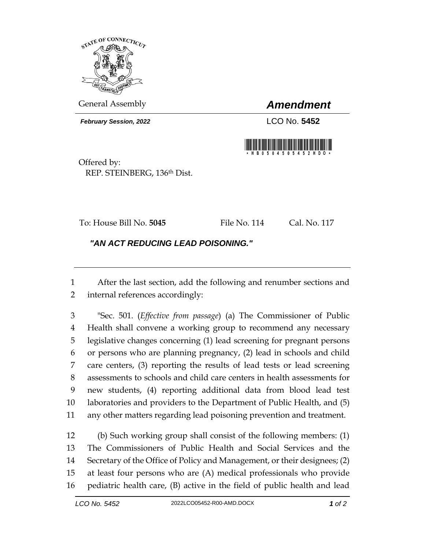

General Assembly *Amendment*

*February Session, 2022* LCO No. **5452**



Offered by: REP. STEINBERG, 136th Dist.

To: House Bill No. **5045** File No. 114 Cal. No. 117

*"AN ACT REDUCING LEAD POISONING."* 

 After the last section, add the following and renumber sections and internal references accordingly:

 "Sec. 501. (*Effective from passage*) (a) The Commissioner of Public Health shall convene a working group to recommend any necessary legislative changes concerning (1) lead screening for pregnant persons or persons who are planning pregnancy, (2) lead in schools and child care centers, (3) reporting the results of lead tests or lead screening assessments to schools and child care centers in health assessments for new students, (4) reporting additional data from blood lead test laboratories and providers to the Department of Public Health, and (5) any other matters regarding lead poisoning prevention and treatment.

 (b) Such working group shall consist of the following members: (1) The Commissioners of Public Health and Social Services and the Secretary of the Office of Policy and Management, or their designees; (2) at least four persons who are (A) medical professionals who provide pediatric health care, (B) active in the field of public health and lead